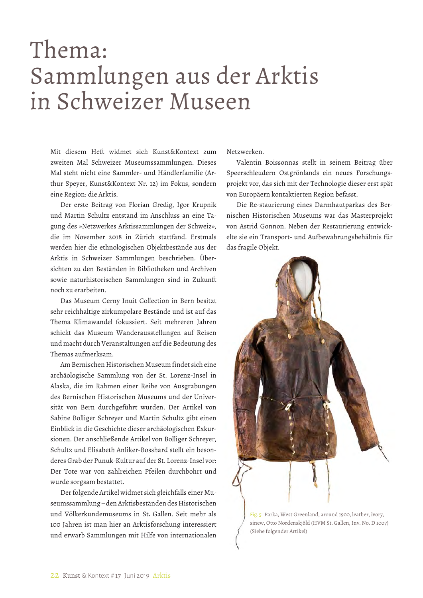# Thema: Sammlungen aus der Arktis in Schweizer Museen

Mit diesem Heft widmet sich Kunst&Kontext zum zweiten Mal Schweizer Museumssammlungen. Dieses Mal steht nicht eine Sammler- und Händlerfamilie (Arthur Speyer, Kunst&Kontext Nr. 12) im Fokus, sondern eine Region: die Arktis.

Der erste Beitrag von Florian Gredig, Igor Krupnik und Martin Schultz entstand im Anschluss an eine Tagung des »Netzwerkes Arktissammlungen der Schweiz», die im November 2018 in Zürich stattfand. Erstmals werden hier die ethnologischen Objektbestände aus der Arktis in Schweizer Sammlungen beschrieben. Übersichten zu den Beständen in Bibliotheken und Archiven sowie naturhistorischen Sammlungen sind in Zukunft noch zu erarbeiten.

Das Museum Cerny Inuit Collection in Bern besitzt sehr reichhaltige zirkumpolare Bestände und ist auf das Thema Klimawandel fokussiert. Seit mehreren Jahren schickt das Museum Wanderausstellungen auf Reisen und macht durch Veranstaltungen auf die Bedeutung des Themas aufmerksam.

Am Bernischen Historischen Museum findet sich eine archäologische Sammlung von der St. Lorenz-Insel in Alaska, die im Rahmen einer Reihe von Ausgrabungen des Bernischen Historischen Museums und der Universität von Bern durchgeführt wurden. Der Artikel von Sabine Bolliger Schreyer und Martin Schultz gibt einen Einblick in die Geschichte dieser archäologischen Exkursionen. Der anschließende Artikel von Bolliger Schreyer, Schultz und Elisabeth Anliker-Bosshard stellt ein besonderes Grab der Punuk-Kultur auf der St. Lorenz-Insel vor: Der Tote war von zahlreichen Pfeilen durchbohrt und wurde sorgsam bestattet.

Der folgende Artikel widmet sich gleichfalls einer Museumssammlung – den Arktisbeständen des Historischen und Völkerkundemuseums in St**.** Gallen. Seit mehr als 100 Jahren ist man hier an Arktisforschung interessiert und erwarb Sammlungen mit Hilfe von internationalen

Netzwerken.

Valentin Boissonnas stellt in seinem Beitrag über Speerschleudern Ostgrönlands ein neues Forschungsprojekt vor, das sich mit der Technologie dieser erst spät von Europäern kontaktierten Region befasst.

Die Re-staurierung eines Darmhautparkas des Bernischen Historischen Museums war das Masterprojekt von Astrid Gonnon. Neben der Restaurierung entwickelte sie ein Transport- und Aufbewahrungsbehältnis für das fragile Objekt.



Fig. 5 Parka, West Greenland, around 1900, leather, ivory, sinew, Otto Nordenskjöld (HVM St. Gallen, Inv. No. D 1007) (Siehe folgender Artikel)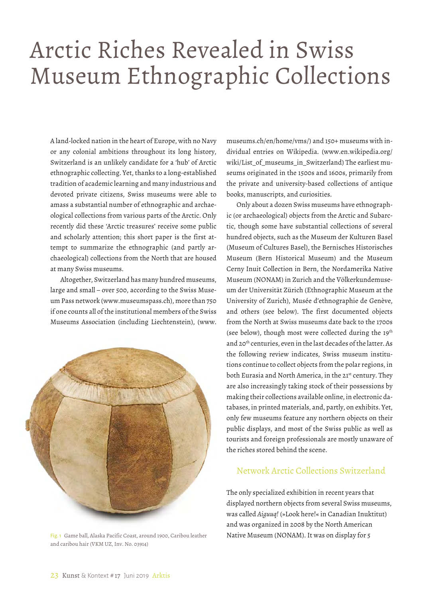# Arctic Riches Revealed in Swiss Museum Ethnographic Collections

A land-locked nation in the heart of Europe, with no Navy or any colonial ambitions throughout its long history, Switzerland is an unlikely candidate for a 'hub' of Arctic ethnographic collecting. Yet, thanks to a long-established tradition of academic learning and many industrious and devoted private citizens, Swiss museums were able to amass a substantial number of ethnographic and archaeological collections from various parts of the Arctic. Only recently did these 'Arctic treasures' receive some public and scholarly attention; this short paper is the first attempt to summarize the ethnographic (and partly archaeological) collections from the North that are housed at many Swiss museums.

Altogether, Switzerland has many hundred museums, large and small – over 500, according to the Swiss Museum Pass network (www.museumspass.ch), more than 750 if one counts all of the institutional members of the Swiss Museums Association (including Liechtenstein), (www.



Fig. 1 Game ball, Alaska Pacific Coast, around 1900, Caribou leather and caribou hair (VKM UZ, Inv. No. 03914)

museums.ch/en/home/vms/) and 150+ museums with individual entries on Wikipedia. (www.en.wikipedia.org/ wiki/List\_of\_museums\_in\_Switzerland) The earliest museums originated in the 1500s and 1600s, primarily from the private and university-based collections of antique books, manuscripts, and curiosities.

Only about a dozen Swiss museums have ethnographic (or archaeological) objects from the Arctic and Subarctic, though some have substantial collections of several hundred objects, such as the Museum der Kulturen Basel (Museum of Cultures Basel), the Bernisches Historisches Museum (Bern Historical Museum) and the Museum Cerny Inuit Collection in Bern, the Nordamerika Native Museum (NONAM) in Zurich and the Völkerkundemuseum der Universität Zürich (Ethnographic Museum at the University of Zurich), Musée d'ethnographie de Genève, and others (see below). The first documented objects from the North at Swiss museums date back to the 1700s (see below), though most were collected during the  $19<sup>th</sup>$ and 20<sup>th</sup> centuries, even in the last decades of the latter. As the following review indicates, Swiss museum institutions continue to collect objects from the polar regions, in both Eurasia and North America, in the 21<sup>st</sup> century. They are also increasingly taking stock of their possessions by making their collections available online, in electronic databases, in printed materials, and, partly, on exhibits. Yet, only few museums feature any northern objects on their public displays, and most of the Swiss public as well as tourists and foreign professionals are mostly unaware of the riches stored behind the scene.

# Network Arctic Collections Switzerland

The only specialized exhibition in recent years that displayed northern objects from several Swiss museums, was called *Aiguuq!* (»Look here!« in Canadian Inuktitut) and was organized in 2008 by the North American Native Museum (NONAM). It was on display for 5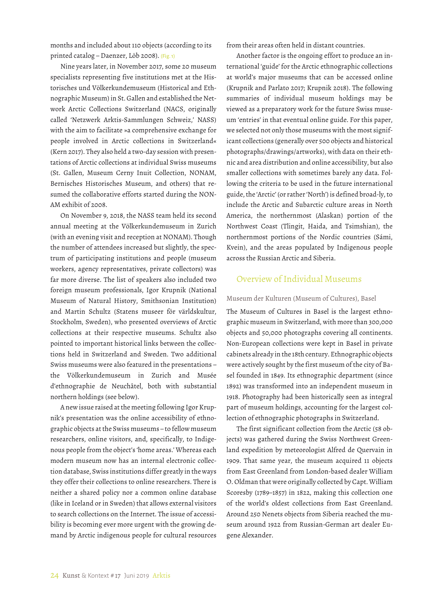months and included about 110 objects (according to its printed catalog – Daenzer, Löb 2008). (Fig. 1)

Nine years later, in November 2017, some 20 museum specialists representing five institutions met at the Historisches und Völkerkundemuseum (Historical and Ethnographic Museum) in St. Gallen and established the Network Arctic Collections Switzerland (NACS, originally called 'Netzwerk Arktis-Sammlungen Schweiz,' NASS) with the aim to facilitate »a comprehensive exchange for people involved in Arctic collections in Switzerland« (Kern 2017). They also held a two-day session with presentations of Arctic collections at individual Swiss museums (St. Gallen, Museum Cerny Inuit Collection, NONAM, Bernisches Historisches Museum, and others) that resumed the collaborative efforts started during the NON-AM exhibit of 2008.

On November 9, 2018, the NASS team held its second annual meeting at the Völkerkundemuseum in Zurich (with an evening visit and reception at NONAM). Though the number of attendees increased but slightly, the spectrum of participating institutions and people (museum workers, agency representatives, private collectors) was far more diverse. The list of speakers also included two foreign museum professionals, Igor Krupnik (National Museum of Natural History, Smithsonian Institution) and Martin Schultz (Statens museer för världskultur, Stockholm, Sweden), who presented overviews of Arctic collections at their respective museums. Schultz also pointed to important historical links between the collections held in Switzerland and Sweden. Two additional Swiss museums were also featured in the presentations – the Völkerkundemuseum in Zurich and Musée d'ethnographie de Neuchâtel, both with substantial northern holdings (see below).

A new issue raised at the meeting following Igor Krupnik's presentation was the online accessibility of ethnographic objects at the Swiss museums – to fellow museum researchers, online visitors, and, specifically, to Indigenous people from the object's 'home areas.' Whereas each modern museum now has an internal electronic collection database, Swiss institutions differ greatly in the ways they offer their collections to online researchers. There is neither a shared policy nor a common online database (like in Iceland or in Sweden) that allows external visitors to search collections on the Internet. The issue of accessibility is becoming ever more urgent with the growing demand by Arctic indigenous people for cultural resources from their areas often held in distant countries.

Another factor is the ongoing effort to produce an international 'guide' for the Arctic ethnographic collections at world's major museums that can be accessed online (Krupnik and Parlato 2017; Krupnik 2018). The following summaries of individual museum holdings may be viewed as a preparatory work for the future Swiss museum 'entries' in that eventual online guide. For this paper, we selected not only those museums with the most significant collections (generally over 500 objects and historical photographs/drawings/artworks), with data on their ethnic and area distribution and online accessibility, but also smaller collections with sometimes barely any data. Following the criteria to be used in the future international guide, the 'Arctic' (or rather 'North') is defined broad-ly, to include the Arctic and Subarctic culture areas in North America, the northernmost (Alaskan) portion of the Northwest Coast (Tlingit, Haida, and Tsimshian), the northernmost portions of the Nordic countries (Sámi, Kvein), and the areas populated by Indigenous people across the Russian Arctic and Siberia.

# Overview of Individual Museums

# Museum der Kulturen (Museum of Cultures), Basel

The Museum of Cultures in Basel is the largest ethnographic museum in Switzerland, with more than 300,000 objects and 50,000 photographs covering all continents. Non-European collections were kept in Basel in private cabinets already in the 18th century. Ethnographic objects were actively sought by the first museum of the city of Basel founded in 1849. Its ethnographic department (since 1892) was transformed into an independent museum in 1918. Photography had been historically seen as integral part of museum holdings, accounting for the largest collection of ethnographic photographs in Switzerland.

The first significant collection from the Arctic (58 objects) was gathered during the Swiss Northwest Greenland expedition by meteorologist Alfred de Quervain in 1909. That same year, the museum acquired 11 objects from East Greenland from London-based dealer William O. Oldman that were originally collected by Capt. William Scoresby (1789–1857) in 1822, making this collection one of the world's oldest collections from East Greenland. Around 250 Nenets objects from Siberia reached the museum around 1922 from Russian-German art dealer Eugene Alexander.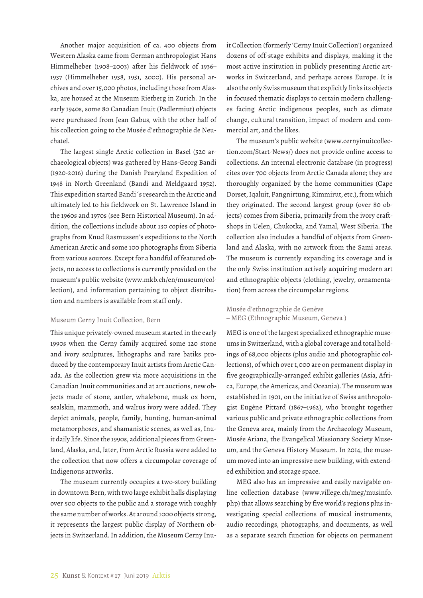Another major acquisition of ca. 400 objects from Western Alaska came from German anthropologist Hans Himmelheber (1908–2003) after his fieldwork of 1936– 1937 (Himmelheber 1938, 1951, 2000). His personal archives and over 15,000 photos, including those from Alaska, are housed at the Museum Rietberg in Zurich. In the early 1940s, some 80 Canadian Inuit (Padlermiut) objects were purchased from Jean Gabus, with the other half of his collection going to the Musée d'ethnographie de Neuchatel.

The largest single Arctic collection in Basel (520 archaeological objects) was gathered by Hans-Georg Bandi (1920-2016) during the Danish Pearyland Expedition of 1948 in North Greenland (Bandi and Meldgaard 1952). This expedition started Bandi´s research in the Arctic and ultimately led to his fieldwork on St. Lawrence Island in the 1960s and 1970s (see Bern Historical Museum). In addition, the collections include about 130 copies of photographs from Knud Rasmussen's expeditions to the North American Arctic and some 100 photographs from Siberia from various sources. Except for a handful of featured objects, no access to collections is currently provided on the museum's public website (www.mkb.ch/en/museum/collection), and information pertaining to object distribution and numbers is available from staff only.

# Museum Cerny Inuit Collection, Bern

This unique privately-owned museum started in the early 1990s when the Cerny family acquired some 120 stone and ivory sculptures, lithographs and rare batiks produced by the contemporary Inuit artists from Arctic Canada. As the collection grew via more acquisitions in the Canadian Inuit communities and at art auctions, new objects made of stone, antler, whalebone, musk ox horn, sealskin, mammoth, and walrus ivory were added. They depict animals, people, family, hunting, human-animal metamorphoses, and shamanistic scenes, as well as, Inuit daily life. Since the 1990s, additional pieces from Greenland, Alaska, and, later, from Arctic Russia were added to the collection that now offers a circumpolar coverage of Indigenous artworks.

The museum currently occupies a two-story building in downtown Bern, with two large exhibit halls displaying over 500 objects to the public and a storage with roughly the same number of works. At around 1000 objects strong, it represents the largest public display of Northern objects in Switzerland. In addition, the Museum Cerny Inuit Collection (formerly 'Cerny Inuit Collection') organized dozens of off-stage exhibits and displays, making it the most active institution in publicly presenting Arctic artworks in Switzerland, and perhaps across Europe. It is also the only Swiss museum that explicitly links its objects in focused thematic displays to certain modern challenges facing Arctic indigenous peoples, such as climate change, cultural transition, impact of modern and commercial art, and the likes.

The museum's public website (www.cernyinuitcollection.com/Start-News/) does not provide online access to collections. An internal electronic database (in progress) cites over 700 objects from Arctic Canada alone; they are thoroughly organized by the home communities (Cape Dorset, Iqaluit, Pangnirtung, Kimmirut, etc.), from which they originated. The second largest group (over 80 objects) comes from Siberia, primarily from the ivory craftshops in Uelen, Chukotka, and Yamal, West Siberia. The collection also includes a handful of objects from Greenland and Alaska, with no artwork from the Sami areas. The museum is currently expanding its coverage and is the only Swiss institution actively acquiring modern art and ethnographic objects (clothing, jewelry, ornamentation) from across the circumpolar regions.

# Musée d'ethnographie de Genève – MEG (Ethnographic Museum, Geneva )

MEG is one of the largest specialized ethnographic museums in Switzerland, with a global coverage and total holdings of 68,000 objects (plus audio and photographic collections), of which over 1,000 are on permanent display in five geographically-arranged exhibit galleries (Asia, Africa, Europe, the Americas, and Oceania). The museum was established in 1901, on the initiative of Swiss anthropologist Eugène Pittard (1867–1962), who brought together various public and private ethnographic collections from the Geneva area, mainly from the Archaeology Museum, Musée Ariana, the Evangelical Missionary Society Museum, and the Geneva History Museum. In 2014, the museum moved into an impressive new building, with extended exhibition and storage space.

MEG also has an impressive and easily navigable online collection database (www.villege.ch/meg/musinfo. php) that allows searching by five world's regions plus investigating special collections of musical instruments, audio recordings, photographs, and documents, as well as a separate search function for objects on permanent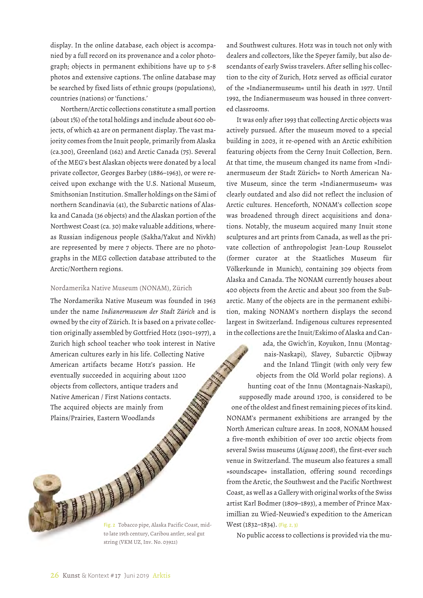display. In the online database, each object is accompanied by a full record on its provenance and a color photograph; objects in permanent exhibitions have up to 5-8 photos and extensive captions. The online database may be searched by fixed lists of ethnic groups (populations), countries (nations) or 'functions.'

Northern/Arctic collections constitute a small portion (about 1%) of the total holdings and include about 600 objects, of which 42 are on permanent display. The vast majority comes from the Inuit people, primarily from Alaska (ca.300), Greenland (162) and Arctic Canada (75). Several of the MEG's best Alaskan objects were donated by a local private collector, Georges Barbey (1886–1963), or were received upon exchange with the U.S. National Museum, Smithsonian Institution. Smaller holdings on the Sámi of northern Scandinavia (41), the Subarctic nations of Alaska and Canada (36 objects) and the Alaskan portion of the Northwest Coast (ca. 30) make valuable additions, whereas Russian indigenous people (Sakha/Yakut and Nivkh) are represented by mere 7 objects. There are no photographs in the MEG collection database attributed to the Arctic/Northern regions.

# Nordamerika Native Museum (NONAM), Zürich

The Nordamerika Native Museum was founded in 1963 under the name *Indianermuseum der Stadt Zürich* and is owned by the city of Zürich. It is based on a private collection originally assembled by Gottfried Hotz (1901–1977), a Zurich high school teacher who took interest in Native American cultures early in his life. Collecting Native American artifacts became Hotz's passion. He eventually succeeded in acquiring about 1200 objects from collectors, antique traders and Native American / First Nations contacts. The acquired objects are mainly from Plains/Prairies, Eastern Woodlands Fig. 2 Tobacco pipe, Alaska Pacific Coast, michala 19th century, Caribou antler, seal gut

Fig. 2 Tobacco pipe, Alaska Pacific Coast, midstring (VKM UZ, Inv. No. 03921)

and Southwest cultures. Hotz was in touch not only with dealers and collectors, like the Speyer family, but also descendants of early Swiss travelers. After selling his collection to the city of Zurich, Hotz served as official curator of the »Indianermuseum« until his death in 1977. Until 1992, the Indianermuseum was housed in three converted classrooms.

It was only after 1993 that collecting Arctic objects was actively pursued. After the museum moved to a special building in 2003, it re-opened with an Arctic exhibition featuring objects from the Cerny Inuit Collection, Bern. At that time, the museum changed its name from »Indianermuseum der Stadt Zürich« to North American Native Museum, since the term »Indianermuseum« was clearly outdated and also did not reflect the inclusion of Arctic cultures. Henceforth, NONAM's collection scope was broadened through direct acquisitions and donations. Notably, the museum acquired many Inuit stone sculptures and art prints from Canada, as well as the private collection of anthropologist Jean-Loup Rousselot (former curator at the Staatliches Museum für Völkerkunde in Munich), containing 309 objects from Alaska and Canada. The NONAM currently houses about 400 objects from the Arctic and about 300 from the Subarctic. Many of the objects are in the permanent exhibition, making NONAM's northern displays the second largest in Switzerland. Indigenous cultures represented in the collections are the Inuit/Eskimo of Alaska and Can-

ada, the Gwich'in, Koyukon, Innu (Montagnais-Naskapi), Slavey, Subarctic Ojibway and the Inland Tlingit (with only very few objects from the Old World polar regions). A hunting coat of the Innu (Montagnais-Naskapi), supposedly made around 1700, is considered to be one of the oldest and finest remaining pieces of its kind. NONAM's permanent exhibitions are arranged by the North American culture areas. In 2008, NONAM housed a five-month exhibition of over 100 arctic objects from several Swiss museums (*Aiguuq 2008*), the first-ever such venue in Switzerland. The museum also features a small »soundscape« installation, offering sound recordings from the Arctic, the Southwest and the Pacific Northwest Coast, as well as a Gallery with original works of the Swiss artist Karl Bodmer (1809–1893), a member of Prince Maximillian zu Wied-Neuwied's expedition to the American West (1832–1834). (Fig. 2, 3)

No public access to collections is provided via the mu-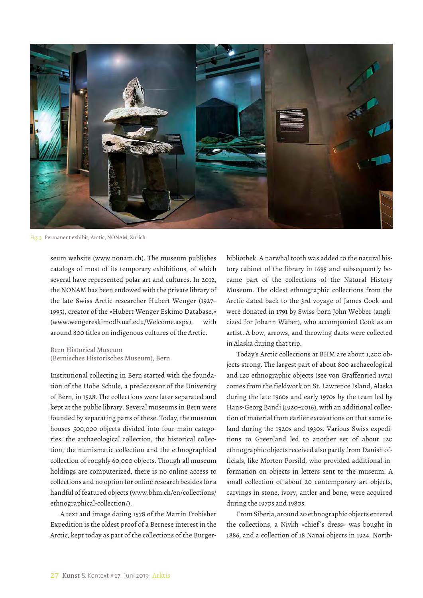

Fig. 3 Permanent exhibit, Arctic, NONAM, Zürich

seum website (www.nonam.ch). The museum publishes catalogs of most of its temporary exhibitions, of which several have represented polar art and cultures. In 2012, the NONAM has been endowed with the private library of the late Swiss Arctic researcher Hubert Wenger (1927– 1995), creator of the »Hubert Wenger Eskimo Database,« (www.wengereskimodb.uaf.edu/Welcome.aspx), with around 800 titles on indigenous cultures of the Arctic.

# Bern Historical Museum (Bernisches Historisches Museum), Bern

Institutional collecting in Bern started with the foundation of the Hohe Schule, a predecessor of the University of Bern, in 1528. The collections were later separated and kept at the public library. Several museums in Bern were founded by separating parts of these. Today, the museum houses 500,000 objects divided into four main categories: the archaeological collection, the historical collection, the numismatic collection and the ethnographical collection of roughly 60,000 objects. Though all museum holdings are computerized, there is no online access to collections and no option for online research besides for a handful of featured objects (www.bhm.ch/en/collections/ ethnographical-collection/).

A text and image dating 1578 of the Martin Frobisher Expedition is the oldest proof of a Bernese interest in the Arctic, kept today as part of the collections of the Burgerbibliothek. A narwhal tooth was added to the natural history cabinet of the library in 1695 and subsequently became part of the collections of the Natural History Museum. The oldest ethnographic collections from the Arctic dated back to the 3rd voyage of James Cook and were donated in 1791 by Swiss-born John Webber (anglicized for Johann Wäber), who accompanied Cook as an artist. A bow, arrows, and throwing darts were collected in Alaska during that trip.

Today's Arctic collections at BHM are about 1,200 objects strong. The largest part of about 800 archaeological and 120 ethnographic objects (see von Graffenried 1972) comes from the fieldwork on St. Lawrence Island, Alaska during the late 1960s and early 1970s by the team led by Hans-Georg Bandi (1920–2016), with an additional collection of material from earlier excavations on that same island during the 1920s and 1930s. Various Swiss expeditions to Greenland led to another set of about 120 ethnographic objects received also partly from Danish officials, like Morten Porsild, who provided additional information on objects in letters sent to the museum. A small collection of about 20 contemporary art objects, carvings in stone, ivory, antler and bone, were acquired during the 1970s and 1980s.

From Siberia, around 20 ethnographic objects entered the collections, a Nivkh »chief´s dress« was bought in 1886, and a collection of 18 Nanai objects in 1924. North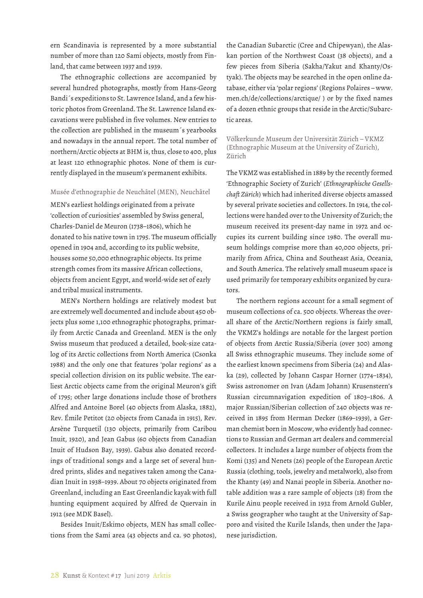ern Scandinavia is represented by a more substantial number of more than 120 Sami objects, mostly from Finland, that came between 1937 and 1939.

The ethnographic collections are accompanied by several hundred photographs, mostly from Hans-Georg Bandi´s expeditions to St. Lawrence Island, and a few historic photos from Greenland. The St. Lawrence Island excavations were published in five volumes. New entries to the collection are published in the museum´s yearbooks and nowadays in the annual report. The total number of northern/Arctic objects at BHM is, thus, close to 400, plus at least 120 ethnographic photos. None of them is currently displayed in the museum's permanent exhibits.

# Musée d'ethnographie de Neuchâtel (MEN), Neuchâtel

MEN's earliest holdings originated from a private 'collection of curiosities' assembled by Swiss general, Charles-Daniel de Meuron (1738–1806), which he donated to his native town in 1795. The museum officially opened in 1904 and, according to its public website, houses some 50,000 ethnographic objects. Its prime strength comes from its massive African collections, objects from ancient Egypt, and world-wide set of early and tribal musical instruments.

MEN's Northern holdings are relatively modest but are extremely well documented and include about 450 objects plus some 1,100 ethnographic photographs, primarily from Arctic Canada and Greenland. MEN is the only Swiss museum that produced a detailed, book-size catalog of its Arctic collections from North America (Csonka 1988) and the only one that features 'polar regions' as a special collection division on its public website. The earliest Arctic objects came from the original Meuron's gift of 1795; other large donations include those of brothers Alfred and Antoine Borel (40 objects from Alaska, 1882), Rev. Émile Petitot (20 objects from Canada in 1915), Rev. Arsène Turquetil (130 objects, primarily from Caribou Inuit, 1920), and Jean Gabus (60 objects from Canadian Inuit of Hudson Bay, 1939). Gabus also donated recordings of traditional songs and a large set of several hundred prints, slides and negatives taken among the Canadian Inuit in 1938–1939. About 70 objects originated from Greenland, including an East Greenlandic kayak with full hunting equipment acquired by Alfred de Quervain in 1912 (see MDK Basel).

Besides Inuit/Eskimo objects, MEN has small collections from the Sami area (43 objects and ca. 90 photos), the Canadian Subarctic (Cree and Chipewyan), the Alaskan portion of the Northwest Coast (38 objects), and a few pieces from Siberia (Sakha/Yakut and Khanty/Ostyak). The objects may be searched in the open online database, either via 'polar regions' (Regions Polaires – www. men.ch/de/collections/arctique/ ) or by the fixed names of a dozen ethnic groups that reside in the Arctic/Subarctic areas.

Völkerkunde Museum der Universität Zürich – VKMZ (Ethnographic Museum at the University of Zurich), Zürich

The VKMZ was established in 1889 by the recently formed 'Ethnographic Society of Zurich' (*Ethnographische Gesellschaft Zürich*) which had inherited diverse objects amassed by several private societies and collectors. In 1914, the collections were handed over to the University of Zurich; the museum received its present-day name in 1972 and occupies its current building since 1980. The overall museum holdings comprise more than 40,000 objects, primarily from Africa, China and Southeast Asia, Oceania, and South America. The relatively small museum space is used primarily for temporary exhibits organized by curators.

The northern regions account for a small segment of museum collections of ca. 500 objects. Whereas the overall share of the Arctic/Northern regions is fairly small, the VKMZ's holdings are notable for the largest portion of objects from Arctic Russia/Siberia (over 300) among all Swiss ethnographic museums. They include some of the earliest known specimens from Siberia (24) and Alaska (29), collected by Johann Caspar Horner (1774–1834), Swiss astronomer on Ivan (Adam Johann) Krusenstern's Russian circumnavigation expedition of 1803–1806. A major Russian/Siberian collection of 240 objects was received in 1895 from Herman Decker (1869–1939), a German chemist born in Moscow, who evidently had connections to Russian and German art dealers and commercial collectors. It includes a large number of objects from the Komi (135) and Nenets (26) people of the European Arctic Russia (clothing, tools, jewelry and metalwork), also from the Khanty (49) and Nanai people in Siberia. Another notable addition was a rare sample of objects (18) from the Kurile Ainu people received in 1932 from Arnold Gubler, a Swiss geographer who taught at the University of Sapporo and visited the Kurile Islands, then under the Japanese jurisdiction.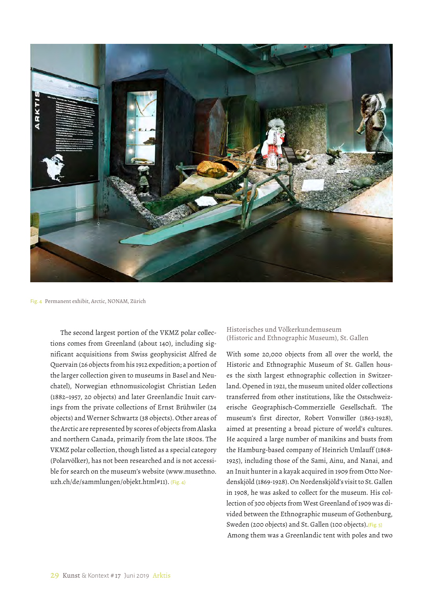

Fig. 4 Permanent exhibit, Arctic, NONAM, Zürich

The second largest portion of the VKMZ polar collections comes from Greenland (about 140), including significant acquisitions from Swiss geophysicist Alfred de Quervain (26 objects from his 1912 expedition; a portion of the larger collection given to museums in Basel and Neuchatel), Norwegian ethnomusicologist Christian Leden (1882–1957, 20 objects) and later Greenlandic Inuit carvings from the private collections of Ernst Brühwiler (24 objects) and Werner Schwartz (38 objects). Other areas of the Arctic are represented by scores of objects from Alaska and northern Canada, primarily from the late 1800s. The VKMZ polar collection, though listed as a special category (Polarvölker), has not been researched and is not accessible for search on the museum's website (www.musethno. uzh.ch/de/sammlungen/objekt.html#11). (Fig. 4)

Historisches und Völkerkundemuseum (Historic and Ethnographic Museum), St. Gallen

With some 20,000 objects from all over the world, the Historic and Ethnographic Museum of St. Gallen houses the sixth largest ethnographic collection in Switzerland. Opened in 1921, the museum united older collections transferred from other institutions, like the Ostschweizerische Geographisch-Commerzielle Gesellschaft. The museum's first director, Robert Vonwiller (1863-1928), aimed at presenting a broad picture of world's cultures. He acquired a large number of manikins and busts from the Hamburg-based company of Heinrich Umlauff (1868- 1925), including those of the Sami, Ainu, and Nanai, and an Inuit hunter in a kayak acquired in 1909 from Otto Nordenskjöld (1869-1928). On Nordenskjöld's visit to St. Gallen in 1908, he was asked to collect for the museum. His collection of 300 objects from West Greenland of 1909 was divided between the Ethnographic museum of Gothenburg, Sweden (200 objects) and St. Gallen (100 objects).(Fig. 5) Among them was a Greenlandic tent with poles and two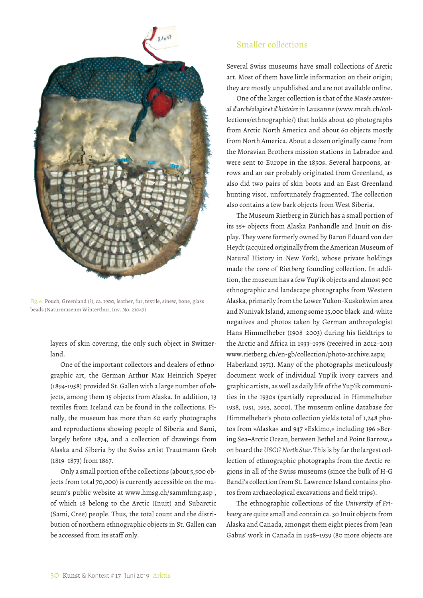

Fig. 6 Pouch, Greenland (?), ca. 1900, leather, fur, textile, sinew, bone, glass beads (Naturmuseum Winterthur, Inv. No. 21047)

layers of skin covering, the only such object in Switzerland.

One of the important collectors and dealers of ethnographic art, the German Arthur Max Heinrich Speyer (1894-1958) provided St. Gallen with a large number of objects, among them 15 objects from Alaska. In addition, 13 textiles from Iceland can be found in the collections. Finally, the museum has more than 60 early photographs and reproductions showing people of Siberia and Sami, largely before 1874, and a collection of drawings from Alaska and Siberia by the Swiss artist Trautmann Grob (1819–1873) from 1867.

Only a small portion of the collections (about 5,500 objects from total 70,000) is currently accessible on the museum's public website at www.hmsg.ch/sammlung.asp , of which 18 belong to the Arctic (Inuit) and Subarctic (Sami, Cree) people. Thus, the total count and the distribution of northern ethnographic objects in St. Gallen can be accessed from its staff only.

# Smaller collections

Several Swiss museums have small collections of Arctic art. Most of them have little information on their origin; they are mostly unpublished and are not available online.

One of the larger collection is that of the *Musée cantonal d'archéologie et d'histoire* in Lausanne (www.mcah.ch/collections/ethnographie/) that holds about 40 photographs from Arctic North America and about 60 objects mostly from North America. About a dozen originally came from the Moravian Brothers mission stations in Labrador and were sent to Europe in the 1850s. Several harpoons, arrows and an oar probably originated from Greenland, as also did two pairs of skin boots and an East-Greenland hunting visor, unfortunately fragmented. The collection also contains a few bark objects from West Siberia.

The Museum Rietberg in Zürich has a small portion of its 35+ objects from Alaska Panhandle and Inuit on display. They were formerly owned by Baron Eduard von der Heydt (acquired originally from the American Museum of Natural History in New York), whose private holdings made the core of Rietberg founding collection. In addition, the museum has a few Yup'ik objects and almost 900 ethnographic and landscape photographs from Western Alaska, primarily from the Lower Yukon-Kuskokwim area and Nunivak Island, among some 15,000 black-and-white negatives and photos taken by German anthropologist Hans Himmelheber (1908–2003) during his fieldtrips to the Arctic and Africa in 1933–1976 (received in 2012–2013 www.rietberg.ch/en-gb/collection/photo-archive.aspx; Haberland 1971). Many of the photographs meticulously document work of individual Yup'ik ivory carvers and graphic artists, as well as daily life of the Yup'ik communities in the 1930s (partially reproduced in Himmelheber 1938, 1951, 1993, 2000). The museum online database for Himmelheber's photo collection yields total of 1,248 photos from »Alaska« and 947 »Eskimo,« including 196 »Bering Sea–Arctic Ocean, between Bethel and Point Barrow,« on board the *USCG North Star*. This is by far the largest collection of ethnographic photographs from the Arctic regions in all of the Swiss museums (since the bulk of H-G Bandi's collection from St. Lawrence Island contains photos from archaeological excavations and field trips).

The ethnographic collections of the *University of Fribourg* are quite small and contain ca. 30 Inuit objects from Alaska and Canada, amongst them eight pieces from Jean Gabus' work in Canada in 1938–1939 (80 more objects are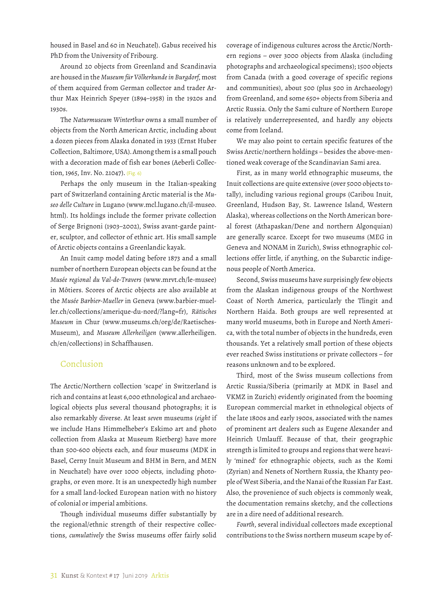housed in Basel and 60 in Neuchatel). Gabus received his PhD from the University of Fribourg.

Around 20 objects from Greenland and Scandinavia are housed in the *Museum für Völkerkunde in Burgdorf*, most of them acquired from German collector and trader Arthur Max Heinrich Speyer (1894–1958) in the 1920s and 1930s.

The *Naturmuseum Winterthur* owns a small number of objects from the North American Arctic, including about a dozen pieces from Alaska donated in 1933 (Ernst Huber Collection, Baltimore, USA). Among them is a small pouch with a decoration made of fish ear bones (Aeberli Collection, 1965, Inv. No. 21047). (Fig. 6)

Perhaps the only museum in the Italian-speaking part of Switzerland containing Arctic material is the *Museo delle Culture* in Lugano (www.mcl.lugano.ch/il-museo. html). Its holdings include the former private collection of Serge Brignoni (1903–2002), Swiss avant-garde painter, sculptor, and collector of ethnic art. His small sample of Arctic objects contains a Greenlandic kayak.

An Inuit camp model dating before 1873 and a small number of northern European objects can be found at the *Musée regional du Val-de-Travers* (www.mrvt.ch/le-musee) in Môtiers. Scores of Arctic objects are also available at the *Musée Barbier-Mueller* in Geneva (www.barbier-mueller.ch/collections/amerique-du-nord/?lang=fr), *Rätisches Museum* in Chur (www.museums.ch/org/de/Raetisches-Museum), and *Museum Allerheiligen* (www.allerheiligen. ch/en/collections) in Schaffhausen.

# Conclusion

The Arctic/Northern collection 'scape' in Switzerland is rich and contains at least 6,000 ethnological and archaeological objects plus several thousand photographs; it is also remarkably diverse. At least *seven* museums (*eight* if we include Hans Himmelheber's Eskimo art and photo collection from Alaska at Museum Rietberg) have more than 500-600 objects each, and four museums (MDK in Basel, Cerny Inuit Museum and BHM in Bern, and MEN in Neuchatel) have over 1000 objects, including photographs, or even more. It is an unexpectedly high number for a small land-locked European nation with no history of colonial or imperial ambitions.

Though individual museums differ substantially by the regional/ethnic strength of their respective collections, *cumulatively* the Swiss museums offer fairly solid coverage of indigenous cultures across the Arctic/Northern regions – over 3000 objects from Alaska (including photographs and archaeological specimens); 1500 objects from Canada (with a good coverage of specific regions and communities), about 500 (plus 500 in Archaeology) from Greenland, and some 650+ objects from Siberia and Arctic Russia. Only the Sami culture of Northern Europe is relatively underrepresented, and hardly any objects come from Iceland.

We may also point to certain specific features of the Swiss Arctic/northern holdings – besides the above-mentioned weak coverage of the Scandinavian Sami area.

First, as in many world ethnographic museums, the Inuit collections are quite extensive (over 5000 objects totally), including various regional groups (Caribou Inuit, Greenland, Hudson Bay, St. Lawrence Island, Western Alaska), whereas collections on the North American boreal forest (Athapaskan/Dene and northern Algonquian) are generally scarce. Except for two museums (MEG in Geneva and NONAM in Zurich), Swiss ethnographic collections offer little, if anything, on the Subarctic indigenous people of North America.

Second, Swiss museums have surprisingly few objects from the Alaskan indigenous groups of the Northwest Coast of North America, particularly the Tlingit and Northern Haida. Both groups are well represented at many world museums, both in Europe and North America, with the total number of objects in the hundreds, even thousands. Yet a relatively small portion of these objects ever reached Swiss institutions or private collectors – for reasons unknown and to be explored.

Third, most of the Swiss museum collections from Arctic Russia/Siberia (primarily at MDK in Basel and VKMZ in Zurich) evidently originated from the booming European commercial market in ethnological objects of the late 1800s and early 1900s, associated with the names of prominent art dealers such as Eugene Alexander and Heinrich Umlauff. Because of that, their geographic strength is limited to groups and regions that were heavily 'mined' for ethnographic objects, such as the Komi (Zyrian) and Nenets of Northern Russia, the Khanty people of West Siberia, and the Nanai of the Russian Far East. Also, the provenience of such objects is commonly weak, the documentation remains sketchy, and the collections are in a dire need of additional research.

*Fourth*, several individual collectors made exceptional contributions to the Swiss northern museum scape by of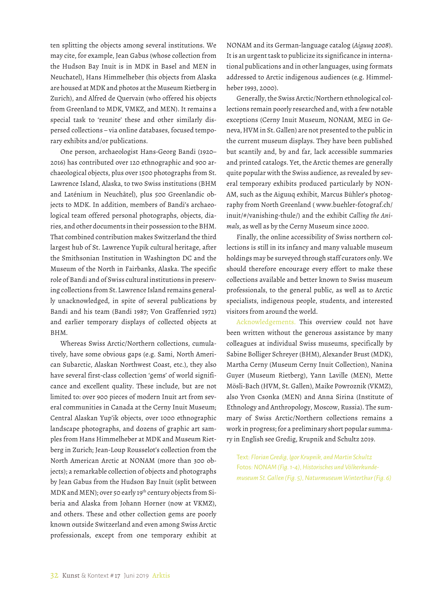ten splitting the objects among several institutions. We may cite, for example, Jean Gabus (whose collection from the Hudson Bay Inuit is in MDK in Basel and MEN in Neuchatel), Hans Himmelheber (his objects from Alaska are housed at MDK and photos at the Museum Rietberg in Zurich), and Alfred de Quervain (who offered his objects from Greenland to MDK, VMKZ, and MEN). It remains a special task to 'reunite' these and other similarly dispersed collections – via online databases, focused temporary exhibits and/or publications.

One person, archaeologist Hans-Georg Bandi (1920– 2016) has contributed over 120 ethnographic and 900 archaeological objects, plus over 1500 photographs from St. Lawrence Island, Alaska, to two Swiss institutions (BHM and Laténium in Neuchâtel), plus 500 Greenlandic objects to MDK. In addition, members of Bandi's archaeological team offered personal photographs, objects, diaries, and other documents in their possession to the BHM. That combined contribution makes Switzerland the third largest hub of St. Lawrence Yupik cultural heritage, after the Smithsonian Institution in Washington DC and the Museum of the North in Fairbanks, Alaska. The specific role of Bandi and of Swiss cultural institutions in preserving collections from St. Lawrence Island remains generally unacknowledged, in spite of several publications by Bandi and his team (Bandi 1987; Von Graffenried 1972) and earlier temporary displays of collected objects at BHM.

Whereas Swiss Arctic/Northern collections, cumulatively, have some obvious gaps (e.g. Sami, North American Subarctic, Alaskan Northwest Coast, etc.), they also have several first-class collection 'gems' of world significance and excellent quality. These include, but are not limited to: over 900 pieces of modern Inuit art from several communities in Canada at the Cerny Inuit Museum; Central Alaskan Yup'ik objects, over 1000 ethnographic landscape photographs, and dozens of graphic art samples from Hans Himmelheber at MDK and Museum Rietberg in Zurich; Jean-Loup Rousselot's collection from the North American Arctic at NONAM (more than 300 objects); a remarkable collection of objects and photographs by Jean Gabus from the Hudson Bay Inuit (split between MDK and MEN); over 50 early 19th century objects from Siberia and Alaska from Johann Horner (now at VKMZ), and others. These and other collection gems are poorly known outside Switzerland and even among Swiss Arctic professionals, except from one temporary exhibit at NONAM and its German-language catalog (*Aiguuq 2008*). It is an urgent task to publicize its significance in international publications and in other languages, using formats addressed to Arctic indigenous audiences (e.g. Himmelheber 1993, 2000).

Generally, the Swiss Arctic/Northern ethnological collections remain poorly researched and, with a few notable exceptions (Cerny Inuit Museum, NONAM, MEG in Geneva, HVM in St. Gallen) are not presented to the public in the current museum displays. They have been published but scantily and, by and far, lack accessible summaries and printed catalogs. Yet, the Arctic themes are generally quite popular with the Swiss audience, as revealed by several temporary exhibits produced particularly by NON-AM, such as the Aiguuq exhibit, Marcus Bühler's photography from North Greenland ( www.buehler-fotograf.ch/ inuit/#/vanishing-thule/) and the exhibit *Calling the Animals*, as well as by the Cerny Museum since 2000.

Finally, the online accessibility of Swiss northern collections is still in its infancy and many valuable museum holdings may be surveyed through staff curators only. We should therefore encourage every effort to make these collections available and better known to Swiss museum professionals, to the general public, as well as to Arctic specialists, indigenous people, students, and interested visitors from around the world.

Acknowledgements. This overview could not have been written without the generous assistance by many colleagues at individual Swiss museums, specifically by Sabine Bolliger Schreyer (BHM), Alexander Brust (MDK), Martha Cerny (Museum Cerny Inuit Collection), Nanina Guyer (Museum Rietberg), Yann Laville (MEN), Mette Mösli-Bach (HVM, St. Gallen), Maike Powroznik (VKMZ), also Yvon Csonka (MEN) and Anna Sirina (Institute of Ethnology and Anthropology, Moscow, Russia). The summary of Swiss Arctic/Northern collections remains a work in progress; for a preliminary short popular summary in English see Gredig, Krupnik and Schultz 2019.

Text: *Florian Gredig, Igor Krupnik, and Martin Schultz* Fotos*: NONAM (Fig. 1-4), Historisches und Völkerkundemuseum St. Gallen (Fig. 5), Naturmuseum Winterthur (Fig. 6)*